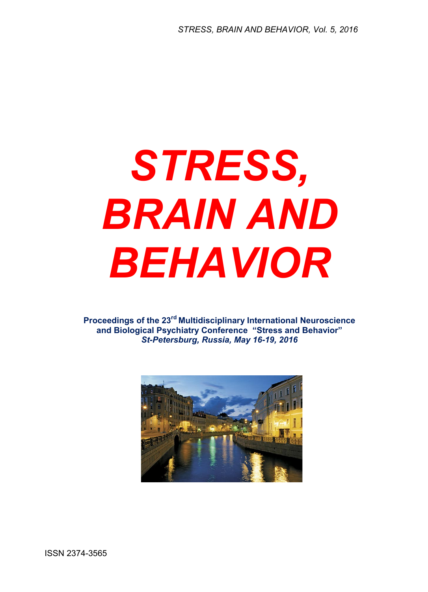## *STRESS, BRAIN AND BEHAVIOR*

**Proceedings of the 23rd Multidisciplinary International Neuroscience and Biological Psychiatry Conference "Stress and Behavior"**  *St-Petersburg, Russia, May 16-19, 2016*